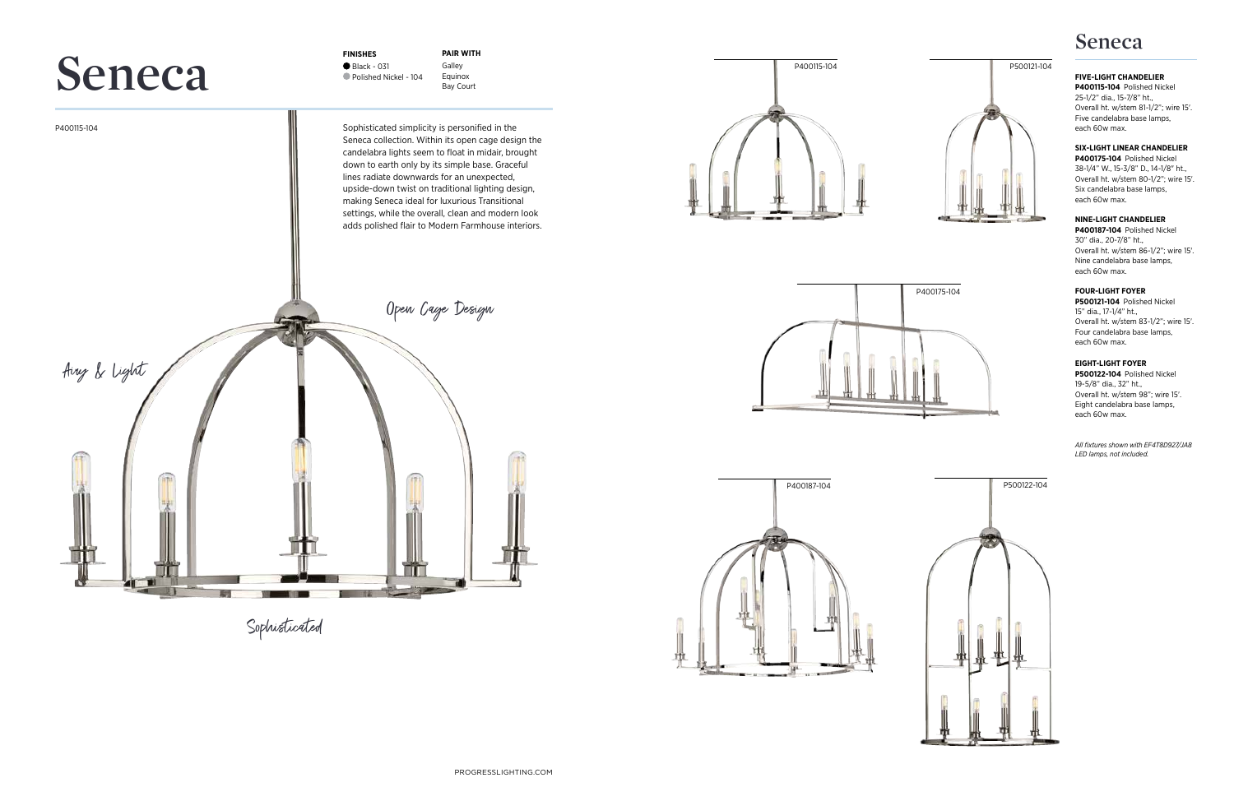Sophisticated

P400115-104

**FINISHES** ● Black - 031 Polished Nickel - 104

**PAIR WITH** Galley Equinox Bay Court



## **FIVE-LIGHT CHANDELIER**

**P400115-104** Polished Nickel 25-1/2" dia., 15-7/8" ht., Overall ht. w/stem 81-1/2"; wire 15'. Five candelabra base lamps, each 60w max.

## **SIX-LIGHT LINEAR CHANDELIER**

**P400175-104** Polished Nickel 38-1/4" W., 15-3/8" D., 14-1/8" ht., Overall ht. w/stem 80-1/2"; wire 15'. Six candelabra base lamps, each 60w max.

## **NINE-LIGHT CHANDELIER**



**P400187-104** Polished Nickel 30" dia., 20-7/8" ht., Overall ht. w/stem 86-1/2"; wire 15'. Nine candelabra base lamps, each 60w max.

### **FOUR-LIGHT FOYER**

**P500121-104** Polished Nickel 15" dia., 17-1/4" ht., Overall ht. w/stem 83-1/2"; wire 15'. Four candelabra base lamps, each 60w max.

## **EIGHT-LIGHT FOYER**

**P500122-104** Polished Nickel 19-5/8" dia., 32" ht., Overall ht. w/stem 98"; wire 15'. Eight candelabra base lamps, each 60w max.

P400115-104







# **Seneca**

*All fixtures shown with EF4T8D927/JA8 LED lamps, not included.* 

Sophisticated simplicity is personified in the